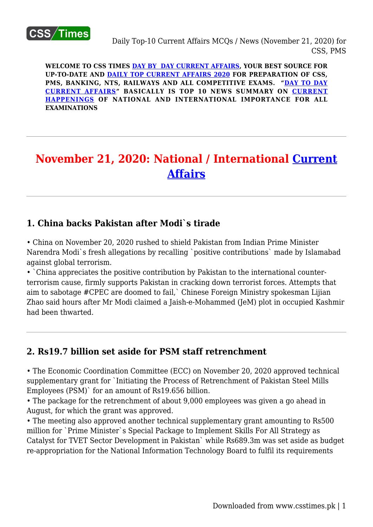

**WELCOME TO CSS TIMES [DAY BY DAY CURRENT AFFAIRS](https://www.csstimes.pk/category/csssubject/csscompulsorysubjects/currentaffairs/), YOUR BEST SOURCE FOR UP-TO-DATE AND [DAILY TOP CURRENT AFFAIRS 2020](https://www.csstimes.pk/category/csssubject/csscompulsorysubjects/currentaffairs/) FOR PREPARATION OF CSS, PMS, BANKING, NTS, RAILWAYS AND ALL COMPETITIVE EXAMS. "[DAY TO DAY](https://www.csstimes.pk/category/csssubject/csscompulsorysubjects/currentaffairs/) [CURRENT AFFAIRS"](https://www.csstimes.pk/category/csssubject/csscompulsorysubjects/currentaffairs/) BASICALLY IS TOP 10 NEWS SUMMARY ON [CURRENT](https://www.csstimes.pk/category/csssubject/csscompulsorysubjects/currentaffairs/) [HAPPENINGS](https://www.csstimes.pk/category/csssubject/csscompulsorysubjects/currentaffairs/) OF NATIONAL AND INTERNATIONAL IMPORTANCE FOR ALL EXAMINATIONS**

# **November 21, 2020: National / International [Current](https://www.csstimes.pk/category/csssubject/csscompulsorysubjects/currentaffairs/) [Affairs](https://www.csstimes.pk/category/csssubject/csscompulsorysubjects/currentaffairs/)**

# **1. China backs Pakistan after Modi`s tirade**

• China on November 20, 2020 rushed to shield Pakistan from Indian Prime Minister Narendra Modi`s fresh allegations by recalling `positive contributions` made by Islamabad against global terrorism.

• `China appreciates the positive contribution by Pakistan to the international counterterrorism cause, firmly supports Pakistan in cracking down terrorist forces. Attempts that aim to sabotage #CPEC are doomed to fail,` Chinese Foreign Ministry spokesman Lijian Zhao said hours after Mr Modi claimed a Jaish-e-Mohammed (JeM) plot in occupied Kashmir had been thwarted.

# **2. Rs19.7 billion set aside for PSM staff retrenchment**

• The Economic Coordination Committee (ECC) on November 20, 2020 approved technical supplementary grant for `Initiating the Process of Retrenchment of Pakistan Steel Mills Employees (PSM)` for an amount of Rs19.656 billion.

• The package for the retrenchment of about 9,000 employees was given a go ahead in August, for which the grant was approved.

• The meeting also approved another technical supplementary grant amounting to Rs500 million for `Prime Minister`s Special Package to Implement Skills For All Strategy as Catalyst for TVET Sector Development in Pakistan` while Rs689.3m was set aside as budget re-appropriation for the National Information Technology Board to fulfil its requirements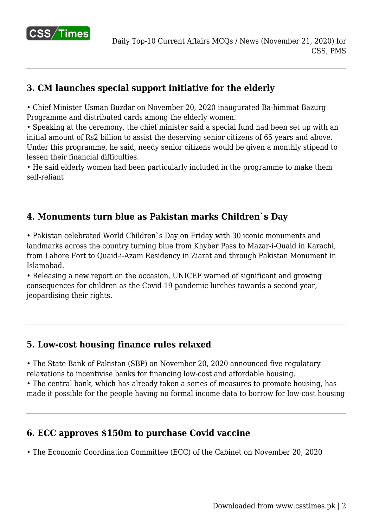

# **3. CM launches special support initiative for the elderly**

• Chief Minister Usman Buzdar on November 20, 2020 inaugurated Ba-himmat Bazurg Programme and distributed cards among the elderly women.

• Speaking at the ceremony, the chief minister said a special fund had been set up with an initial amount of Rs2 billion to assist the deserving senior citizens of 65 years and above. Under this programme, he said, needy senior citizens would be given a monthly stipend to lessen their financial difficulties.

• He said elderly women had been particularly included in the programme to make them self-reliant

### **4. Monuments turn blue as Pakistan marks Children`s Day**

• Pakistan celebrated World Children`s Day on Friday with 30 iconic monuments and landmarks across the country turning blue from Khyber Pass to Mazar-i-Quaid in Karachi, from Lahore Fort to Quaid-i-Azam Residency in Ziarat and through Pakistan Monument in Islamabad.

• Releasing a new report on the occasion, UNICEF warned of significant and growing consequences for children as the Covid-19 pandemic lurches towards a second year, jeopardising their rights.

### **5. Low-cost housing finance rules relaxed**

• The State Bank of Pakistan (SBP) on November 20, 2020 announced five regulatory relaxations to incentivise banks for financing low-cost and affordable housing.

• The central bank, which has already taken a series of measures to promote housing, has made it possible for the people having no formal income data to borrow for low-cost housing

### **6. ECC approves \$150m to purchase Covid vaccine**

• The Economic Coordination Committee (ECC) of the Cabinet on November 20, 2020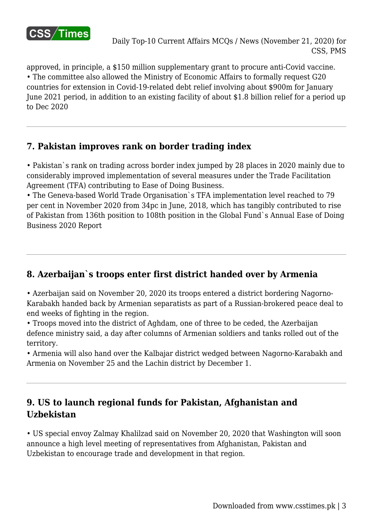

approved, in principle, a \$150 million supplementary grant to procure anti-Covid vaccine. • The committee also allowed the Ministry of Economic Affairs to formally request G20 countries for extension in Covid-19-related debt relief involving about \$900m for January June 2021 period, in addition to an existing facility of about \$1.8 billion relief for a period up to Dec 2020

### **7. Pakistan improves rank on border trading index**

• Pakistan`s rank on trading across border index jumped by 28 places in 2020 mainly due to considerably improved implementation of several measures under the Trade Facilitation Agreement (TFA) contributing to Ease of Doing Business.

• The Geneva-based World Trade Organisation`s TFA implementation level reached to 79 per cent in November 2020 from 34pc in June, 2018, which has tangibly contributed to rise of Pakistan from 136th position to 108th position in the Global Fund`s Annual Ease of Doing Business 2020 Report

# **8. Azerbaijan`s troops enter first district handed over by Armenia**

• Azerbaijan said on November 20, 2020 its troops entered a district bordering Nagorno-Karabakh handed back by Armenian separatists as part of a Russian-brokered peace deal to end weeks of fighting in the region.

• Troops moved into the district of Aghdam, one of three to be ceded, the Azerbaijan defence ministry said, a day after columns of Armenian soldiers and tanks rolled out of the territory.

• Armenia will also hand over the Kalbajar district wedged between Nagorno-Karabakh and Armenia on November 25 and the Lachin district by December 1.

# **9. US to launch regional funds for Pakistan, Afghanistan and Uzbekistan**

• US special envoy Zalmay Khalilzad said on November 20, 2020 that Washington will soon announce a high level meeting of representatives from Afghanistan, Pakistan and Uzbekistan to encourage trade and development in that region.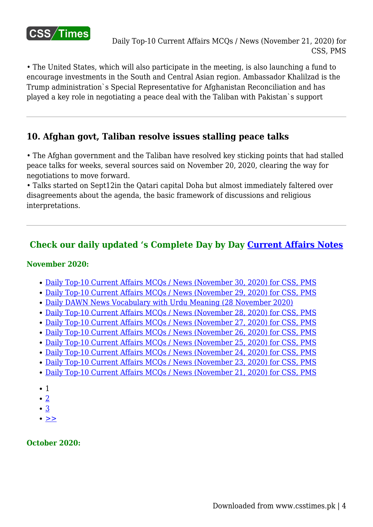

• The United States, which will also participate in the meeting, is also launching a fund to encourage investments in the South and Central Asian region. Ambassador Khalilzad is the Trump administration`s Special Representative for Afghanistan Reconciliation and has played a key role in negotiating a peace deal with the Taliban with Pakistan`s support

### **10. Afghan govt, Taliban resolve issues stalling peace talks**

• The Afghan government and the Taliban have resolved key sticking points that had stalled peace talks for weeks, several sources said on November 20, 2020, clearing the way for negotiations to move forward.

• Talks started on Sept12in the Qatari capital Doha but almost immediately faltered over disagreements about the agenda, the basic framework of discussions and religious interpretations.

### **Check our daily updated 's Complete Day by Day [Current Affairs Notes](https://www.csstimes.pk/category/csssubject/csscompulsorysubjects/currentaffairs/)**

#### **November 2020:**

- [Daily Top-10 Current Affairs MCQs / News \(November 30, 2020\) for CSS, PMS](https://www.csstimes.pk/current-affairs-mcqs-nov-30-2020/)
- [Daily Top-10 Current Affairs MCQs / News \(November 29, 2020\) for CSS, PMS](https://www.csstimes.pk/current-affairs-mcqs-nov-29-2020/)
- [Daily DAWN News Vocabulary with Urdu Meaning \(28 November 2020\)](https://www.csstimes.pk/dawn-news-vocabulary-28-nov-2020/)
- [Daily Top-10 Current Affairs MCQs / News \(November 28, 2020\) for CSS, PMS](https://www.csstimes.pk/current-affairs-mcqs-nov-28-2020/)
- [Daily Top-10 Current Affairs MCQs / News \(November 27, 2020\) for CSS, PMS](https://www.csstimes.pk/current-affairs-mcqs-nov-27-2020/)
- [Daily Top-10 Current Affairs MCQs / News \(November 26, 2020\) for CSS, PMS](https://www.csstimes.pk/current-affairs-mcqs-nov-26-2020/)
- [Daily Top-10 Current Affairs MCQs / News \(November 25, 2020\) for CSS, PMS](https://www.csstimes.pk/current-affairs-mcqs-nov-25-2020/)
- [Daily Top-10 Current Affairs MCQs / News \(November 24, 2020\) for CSS, PMS](https://www.csstimes.pk/current-affairs-mcqs-nov-24-2020/)
- [Daily Top-10 Current Affairs MCQs / News \(November 23, 2020\) for CSS, PMS](https://www.csstimes.pk/current-affairs-mcqs-nov-23-2020/)
- [Daily Top-10 Current Affairs MCQs / News \(November 21, 2020\) for CSS, PMS](https://www.csstimes.pk/current-affairs-mcqs-nov-21-2020/)
- $\bullet$  1
- $\bullet$  [2](https://www.csstimes.pk/current-affairs-mcqs-nov-21-2020/?pdf=15226&lcp_page0=2#lcp_instance_0)
- [3](https://www.csstimes.pk/current-affairs-mcqs-nov-21-2020/?pdf=15226&lcp_page0=3#lcp_instance_0)
- $\bullet$   $>$

**October 2020:**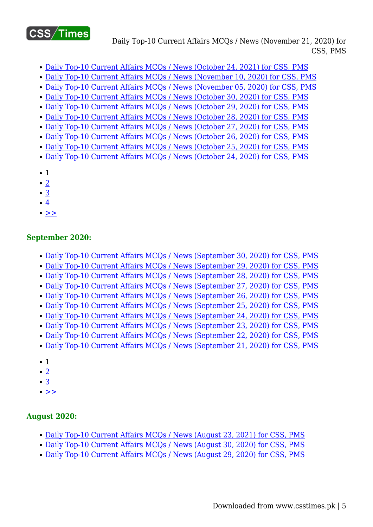

Daily Top-10 Current Affairs MCQs / News (November 21, 2020) for CSS, PMS

- [Daily Top-10 Current Affairs MCQs / News \(October 24, 2021\) for CSS, PMS](https://www.csstimes.pk/current-affairs-mcqs-oct-24-2021/)
- [Daily Top-10 Current Affairs MCQs / News \(November 10, 2020\) for CSS, PMS](https://www.csstimes.pk/current-affairs-mcqs-nov-10-2020/)
- [Daily Top-10 Current Affairs MCQs / News \(November 05, 2020\) for CSS, PMS](https://www.csstimes.pk/current-affairs-mcqs-nov-05-2020/)
- [Daily Top-10 Current Affairs MCQs / News \(October 30, 2020\) for CSS, PMS](https://www.csstimes.pk/current-affairs-mcqs-oct-30-2020/)
- [Daily Top-10 Current Affairs MCQs / News \(October 29, 2020\) for CSS, PMS](https://www.csstimes.pk/current-affairs-mcqs-oct-29-2020/)
- [Daily Top-10 Current Affairs MCQs / News \(October 28, 2020\) for CSS, PMS](https://www.csstimes.pk/current-affairs-mcqs-oct-28-2020/)
- [Daily Top-10 Current Affairs MCQs / News \(October 27, 2020\) for CSS, PMS](https://www.csstimes.pk/current-affairs-mcqs-oct-27-2020/)
- [Daily Top-10 Current Affairs MCQs / News \(October 26, 2020\) for CSS, PMS](https://www.csstimes.pk/current-affairs-mcqs-oct-26-2020/)
- [Daily Top-10 Current Affairs MCQs / News \(October 25, 2020\) for CSS, PMS](https://www.csstimes.pk/current-affairs-mcqs-oct-25-2020/)
- [Daily Top-10 Current Affairs MCQs / News \(October 24, 2020\) for CSS, PMS](https://www.csstimes.pk/top-10-current-affairs-mcqs-oct-24-2020/)
- 1
- $\bullet$  [2](https://www.csstimes.pk/current-affairs-mcqs-nov-21-2020/?pdf=15226&lcp_page0=2#lcp_instance_0)
- $\cdot$  [3](https://www.csstimes.pk/current-affairs-mcqs-nov-21-2020/?pdf=15226&lcp_page0=3#lcp_instance_0)
- [4](https://www.csstimes.pk/current-affairs-mcqs-nov-21-2020/?pdf=15226&lcp_page0=4#lcp_instance_0)
- $\bullet \geq$

#### **September 2020:**

- [Daily Top-10 Current Affairs MCQs / News \(September 30, 2020\) for CSS, PMS](https://www.csstimes.pk/current-affairs-mcqs-sep-30-2020/)
- [Daily Top-10 Current Affairs MCQs / News \(September 29, 2020\) for CSS, PMS](https://www.csstimes.pk/current-affairs-mcqs-sep-29-2020/)
- [Daily Top-10 Current Affairs MCQs / News \(September 28, 2020\) for CSS, PMS](https://www.csstimes.pk/current-affairs-mcqs-sep-28-2020/)
- [Daily Top-10 Current Affairs MCQs / News \(September 27, 2020\) for CSS, PMS](https://www.csstimes.pk/current-affairs-mcqs-sep-27-2020/)
- [Daily Top-10 Current Affairs MCQs / News \(September 26, 2020\) for CSS, PMS](https://www.csstimes.pk/current-affairs-mcqs-sep-26-2020/)
- [Daily Top-10 Current Affairs MCQs / News \(September 25, 2020\) for CSS, PMS](https://www.csstimes.pk/current-affairs-mcqs-sep-25-2020/)
- [Daily Top-10 Current Affairs MCQs / News \(September 24, 2020\) for CSS, PMS](https://www.csstimes.pk/current-affairs-mcqs-sep-24-2020/)
- [Daily Top-10 Current Affairs MCQs / News \(September 23, 2020\) for CSS, PMS](https://www.csstimes.pk/current-affairs-mcqs-sep-23-2020/)
- [Daily Top-10 Current Affairs MCQs / News \(September 22, 2020\) for CSS, PMS](https://www.csstimes.pk/current-affairs-mcqs-sep-21-2020-2/)
- [Daily Top-10 Current Affairs MCQs / News \(September 21, 2020\) for CSS, PMS](https://www.csstimes.pk/current-affairs-mcqs-sep-21-2020/)
- 1
- $\bullet$  [2](https://www.csstimes.pk/current-affairs-mcqs-nov-21-2020/?pdf=15226&lcp_page0=2#lcp_instance_0)
- [3](https://www.csstimes.pk/current-affairs-mcqs-nov-21-2020/?pdf=15226&lcp_page0=3#lcp_instance_0)
- $\bullet$  [>>](https://www.csstimes.pk/current-affairs-mcqs-nov-21-2020/?pdf=15226&lcp_page0=2#lcp_instance_0)

#### **August 2020:**

- [Daily Top-10 Current Affairs MCQs / News \(August 23, 2021\) for CSS, PMS](https://www.csstimes.pk/current-affairs-mcqs-aug-23-2021/)
- [Daily Top-10 Current Affairs MCQs / News \(August 30, 2020\) for CSS, PMS](https://www.csstimes.pk/current-affairs-mcqs-august-30-2020/)
- [Daily Top-10 Current Affairs MCQs / News \(August 29, 2020\) for CSS, PMS](https://www.csstimes.pk/daily-top-10-current-affairs-mcqs-news-august-29-2020-css-pms/)